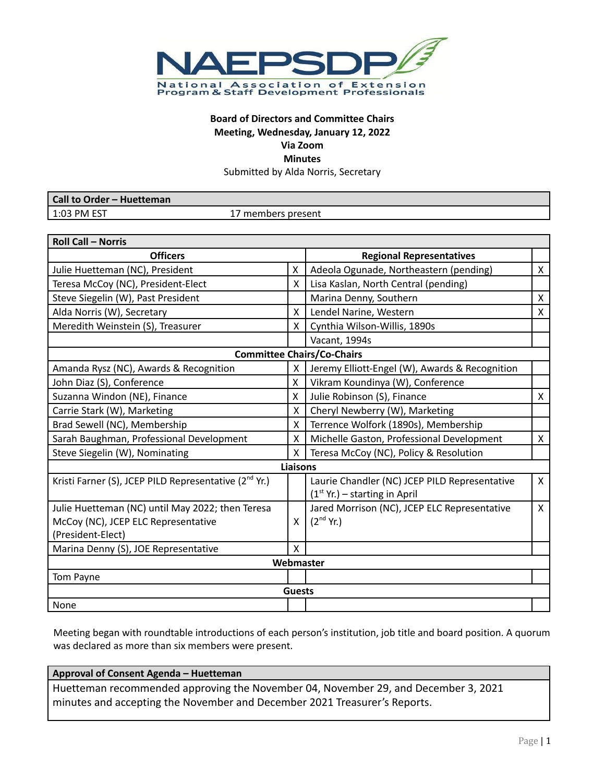

# **Board of Directors and Committee Chairs Meeting, Wednesday, January 12, 2022 Via Zoom Minutes**

Submitted by Alda Norris, Secretary

| Call to Order - Huetteman |                    |
|---------------------------|--------------------|
| $1:03$ PM EST             | .7 members present |

| <b>Roll Call - Norris</b>                                         |                 |                                                |              |
|-------------------------------------------------------------------|-----------------|------------------------------------------------|--------------|
| <b>Officers</b>                                                   |                 | <b>Regional Representatives</b>                |              |
| X<br>Julie Huetteman (NC), President                              |                 | Adeola Ogunade, Northeastern (pending)         | X            |
| Teresa McCoy (NC), President-Elect                                |                 | Lisa Kaslan, North Central (pending)           |              |
| Steve Siegelin (W), Past President                                |                 | Marina Denny, Southern                         | X            |
| Alda Norris (W), Secretary                                        | X               | Lendel Narine, Western                         | X            |
| Meredith Weinstein (S), Treasurer                                 | X               | Cynthia Wilson-Willis, 1890s                   |              |
|                                                                   |                 | Vacant, 1994s                                  |              |
|                                                                   |                 | <b>Committee Chairs/Co-Chairs</b>              |              |
| Amanda Rysz (NC), Awards & Recognition                            | X               | Jeremy Elliott-Engel (W), Awards & Recognition |              |
| John Diaz (S), Conference                                         | X               | Vikram Koundinya (W), Conference               |              |
| Suzanna Windon (NE), Finance                                      | X               | Julie Robinson (S), Finance                    | $\mathsf{X}$ |
| Carrie Stark (W), Marketing                                       | X               | Cheryl Newberry (W), Marketing                 |              |
| Brad Sewell (NC), Membership                                      | X               | Terrence Wolfork (1890s), Membership           |              |
| Sarah Baughman, Professional Development                          | X               | Michelle Gaston, Professional Development      | $\mathsf{X}$ |
| Steve Siegelin (W), Nominating                                    |                 | Teresa McCoy (NC), Policy & Resolution         |              |
|                                                                   | <b>Liaisons</b> |                                                |              |
| Kristi Farner (S), JCEP PILD Representative (2 <sup>nd</sup> Yr.) |                 | Laurie Chandler (NC) JCEP PILD Representative  | $\mathsf{X}$ |
|                                                                   |                 | $(1st Yr.) - starting in April$                |              |
| Julie Huetteman (NC) until May 2022; then Teresa                  |                 | Jared Morrison (NC), JCEP ELC Representative   | $\mathsf{X}$ |
| McCoy (NC), JCEP ELC Representative                               | X               | $(2^{nd}$ Yr.)                                 |              |
| (President-Elect)                                                 |                 |                                                |              |
| Marina Denny (S), JOE Representative                              | X               |                                                |              |
|                                                                   |                 | Webmaster                                      |              |
| Tom Payne                                                         |                 |                                                |              |
|                                                                   | <b>Guests</b>   |                                                |              |
| None                                                              |                 |                                                |              |

Meeting began with roundtable introductions of each person's institution, job title and board position. A quorum was declared as more than six members were present.

#### **Approval of Consent Agenda – Huetteman**

Huetteman recommended approving the November 04, November 29, and December 3, 2021 minutes and accepting the November and December 2021 Treasurer's Reports.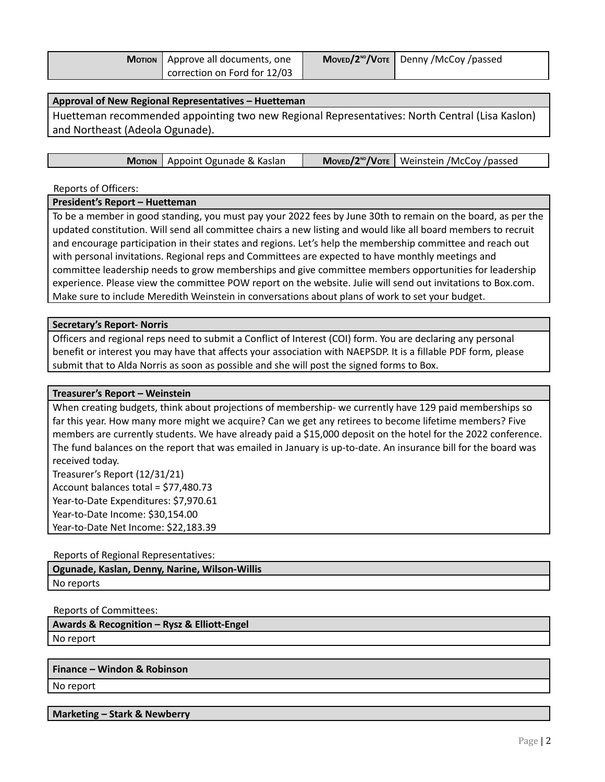| <b>Morion</b>   Approve all documents, one | У Моvєв/2 <sup>№</sup> /Vотє   Denny /McCoy /passed |
|--------------------------------------------|-----------------------------------------------------|
| correction on Ford for 12/03               |                                                     |

## **Approval of New Regional Representatives – Huetteman**

Huetteman recommended appointing two new Regional Representatives: North Central (Lisa Kaslon) and Northeast (Adeola Ogunade).

| <b>Morion</b>   Appoint Ogunade & Kaslan |  | $MoveD/2^{ND}/V$ OTE   Weinstein /McCoy /passed |
|------------------------------------------|--|-------------------------------------------------|
|------------------------------------------|--|-------------------------------------------------|

Reports of Officers:

#### **President's Report – Huetteman**

To be a member in good standing, you must pay your 2022 fees by June 30th to remain on the board, as per the updated constitution. Will send all committee chairs a new listing and would like all board members to recruit and encourage participation in their states and regions. Let's help the membership committee and reach out with personal invitations. Regional reps and Committees are expected to have monthly meetings and committee leadership needs to grow memberships and give committee members opportunities for leadership experience. Please view the committee POW report on the website. Julie will send out invitations to Box.com. Make sure to include Meredith Weinstein in conversations about plans of work to set your budget.

#### **Secretary's Report- Norris**

Officers and regional reps need to submit a Conflict of Interest (COI) form. You are declaring any personal benefit or interest you may have that affects your association with NAEPSDP. It is a fillable PDF form, please submit that to Alda Norris as soon as possible and she will post the signed forms to Box.

#### **Treasurer's Report – Weinstein**

When creating budgets, think about projections of membership- we currently have 129 paid memberships so far this year. How many more might we acquire? Can we get any retirees to become lifetime members? Five members are currently students. We have already paid a \$15,000 deposit on the hotel for the 2022 conference. The fund balances on the report that was emailed in January is up-to-date. An insurance bill for the board was received today.

Treasurer's Report (12/31/21) Account balances total = \$77,480.73 Year-to-Date Expenditures: \$7,970.61 Year-to-Date Income: \$30,154.00 Year-to-Date Net Income: \$22,183.39

#### Reports of Regional Representatives:

**Ogunade, Kaslan, Denny, Narine, Wilson-Willis** No reports

#### Reports of Committees:

**Awards & Recognition – Rysz & Elliott-Engel** No report

#### **Finance – Windon & Robinson**

No report

#### **Marketing – Stark & Newberry**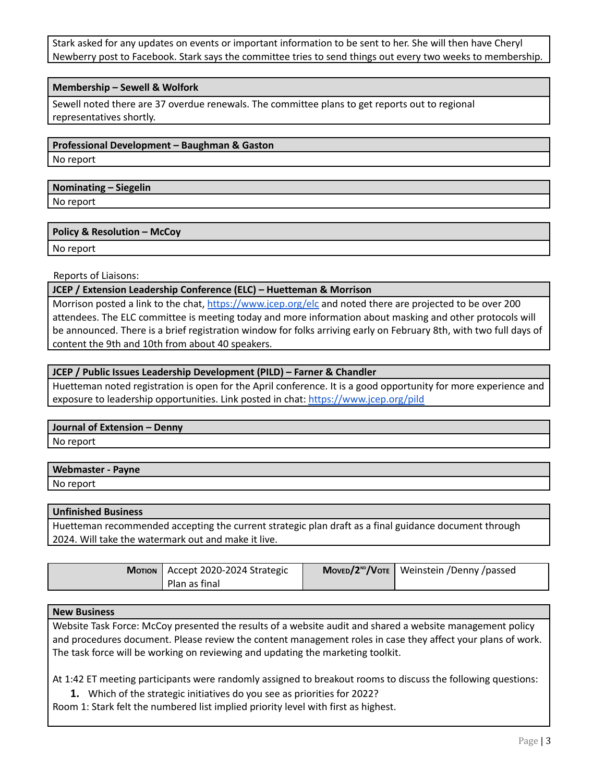Stark asked for any updates on events or important information to be sent to her. She will then have Cheryl Newberry post to Facebook. Stark says the committee tries to send things out every two weeks to membership.

## **Membership – Sewell & Wolfork**

Sewell noted there are 37 overdue renewals. The committee plans to get reports out to regional representatives shortly.

# **Professional Development – Baughman & Gaston**

No report

# **Nominating – Siegelin**

No report

# **Policy & Resolution – McCoy**

No report

# Reports of Liaisons:

## **JCEP / Extension Leadership Conference (ELC) – Huetteman & Morrison**

Morrison posted a link to the chat, <https://www.jcep.org/elc> and noted there are projected to be over 200 attendees. The ELC committee is meeting today and more information about masking and other protocols will be announced. There is a brief registration window for folks arriving early on February 8th, with two full days of content the 9th and 10th from about 40 speakers.

# **JCEP / Public Issues Leadership Development (PILD) – Farner & Chandler**

Huetteman noted registration is open for the April conference. It is a good opportunity for more experience and exposure to leadership opportunities. Link posted in chat: <https://www.jcep.org/pild>

## **Journal of Extension – Denny**

No report

| <b>Webmaster - Payne</b> |  |
|--------------------------|--|
| No report                |  |

# **Unfinished Business**

Huetteman recommended accepting the current strategic plan draft as a final guidance document through 2024. Will take the watermark out and make it live.

| Morion   Accept 2020-2024 Strategic | Movεο/2 <sup>ND</sup> /Voτε   Weinstein /Denny /passed |
|-------------------------------------|--------------------------------------------------------|
| Plan as final                       |                                                        |

## **New Business**

Website Task Force: McCoy presented the results of a website audit and shared a website management policy and procedures document. Please review the content management roles in case they affect your plans of work. The task force will be working on reviewing and updating the marketing toolkit.

At 1:42 ET meeting participants were randomly assigned to breakout rooms to discuss the following questions:

**1.** Which of the strategic initiatives do you see as priorities for 2022?

Room 1: Stark felt the numbered list implied priority level with first as highest.